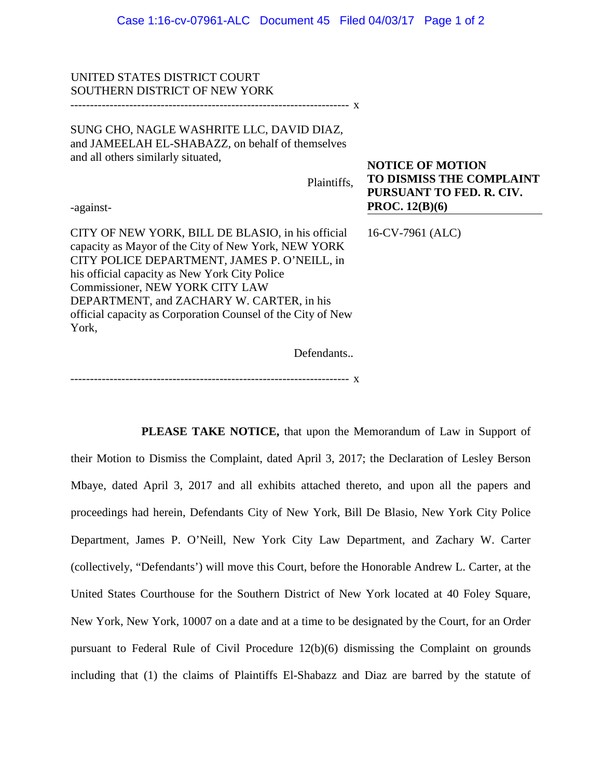## UNITED STATES DISTRICT COURT SOUTHERN DISTRICT OF NEW YORK

----------------------------------------------------------------------- x

SUNG CHO, NAGLE WASHRITE LLC, DAVID DIAZ, and JAMEELAH EL-SHABAZZ, on behalf of themselves and all others similarly situated,

Plaintiffs,

-against-

CITY OF NEW YORK, BILL DE BLASIO, in his official capacity as Mayor of the City of New York, NEW YORK CITY POLICE DEPARTMENT, JAMES P. O'NEILL, in his official capacity as New York City Police Commissioner, NEW YORK CITY LAW DEPARTMENT, and ZACHARY W. CARTER, in his official capacity as Corporation Counsel of the City of New York,

16-CV-7961 (ALC)

**PROC. 12(B)(6)**

**NOTICE OF MOTION**

**TO DISMISS THE COMPLAINT PURSUANT TO FED. R. CIV.** 

Defendants..

----------------------------------------------------------------------- x

**PLEASE TAKE NOTICE,** that upon the Memorandum of Law in Support of their Motion to Dismiss the Complaint, dated April 3, 2017; the Declaration of Lesley Berson Mbaye, dated April 3, 2017 and all exhibits attached thereto, and upon all the papers and proceedings had herein, Defendants City of New York, Bill De Blasio, New York City Police Department, James P. O'Neill, New York City Law Department, and Zachary W. Carter (collectively, "Defendants') will move this Court, before the Honorable Andrew L. Carter, at the United States Courthouse for the Southern District of New York located at 40 Foley Square, New York, New York, 10007 on a date and at a time to be designated by the Court, for an Order pursuant to Federal Rule of Civil Procedure 12(b)(6) dismissing the Complaint on grounds including that (1) the claims of Plaintiffs El-Shabazz and Diaz are barred by the statute of